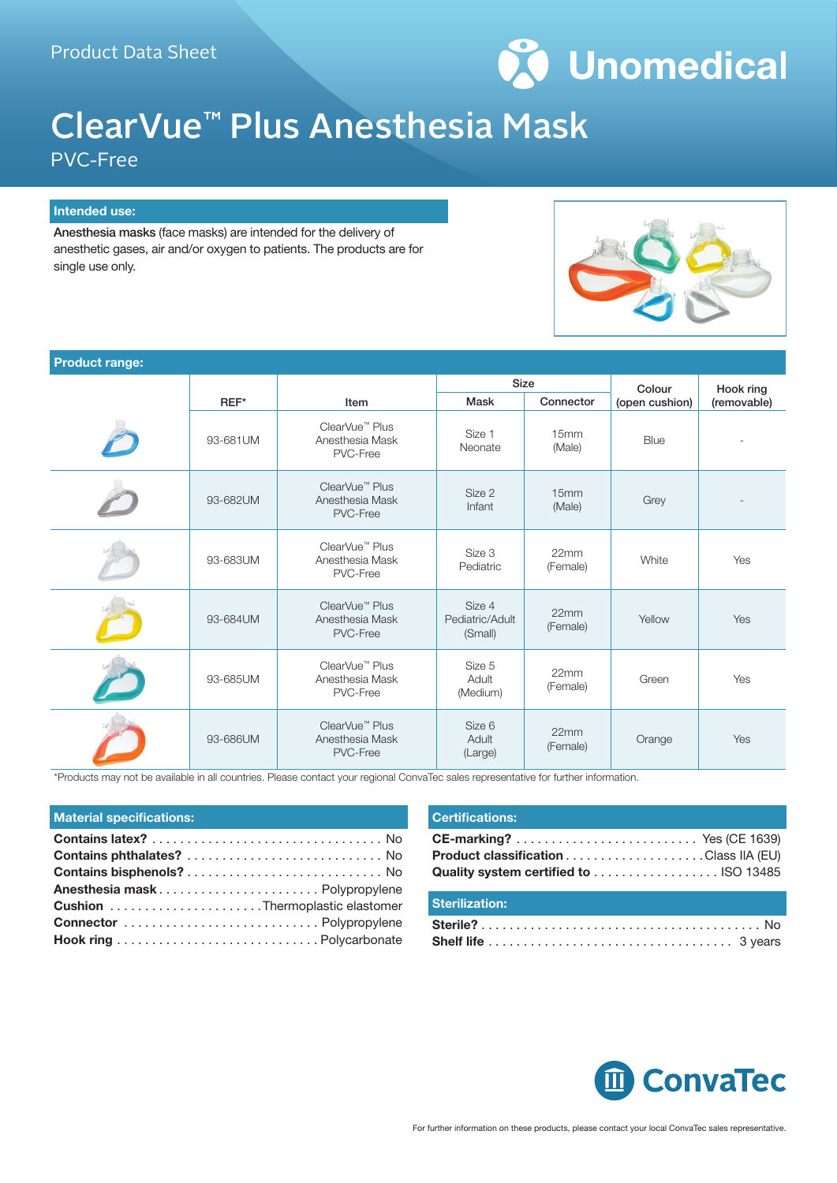

## ClearVue™ Plus Anesthesia Mask

PVC-Free

## **Intended use:**

Anesthesia masks (face masks) are intended for the delivery of anesthetic gases, air and/or oxygen to patients. The products are for single use only.



| <b>Product range:</b> |          |                                                           |                                      |                  |                |             |
|-----------------------|----------|-----------------------------------------------------------|--------------------------------------|------------------|----------------|-------------|
|                       |          |                                                           | <b>Size</b>                          |                  | Colour         | Hook ring   |
|                       | $REF^*$  | Item                                                      | Mask                                 | Connector        | (open cushion) | (removable) |
|                       | 93-681UM | ClearVue <sup>™</sup> Plus<br>Anesthesia Mask<br>PVC-Free | Size 1<br>Neonate                    | 15mm<br>(Male)   | Blue           |             |
|                       | 93-682UM | ClearVue <sup>™</sup> Plus<br>Anesthesia Mask<br>PVC-Free | Size 2<br>Infant                     | 15mm<br>(Male)   | Grey           |             |
|                       | 93-683UM | ClearVue <sup>™</sup> Plus<br>Anesthesia Mask<br>PVC-Free | Size 3<br>Pediatric                  | 22mm<br>(Female) | White          | Yes         |
|                       | 93-684UM | ClearVue <sup>™</sup> Plus<br>Anesthesia Mask<br>PVC-Free | Size 4<br>Pediatric/Adult<br>(Small) | 22mm<br>(Female) | Yellow         | Yes         |
|                       | 93-685UM | ClearVue <sup>™</sup> Plus<br>Anesthesia Mask<br>PVC-Free | Size 5<br>Adult<br>(Medium)          | 22mm<br>(Female) | Green          | Yes         |
|                       | 93-686UM | ClearVue <sup>™</sup> Plus<br>Anesthesia Mask<br>PVC-Free | Size 6<br>Adult<br>(Large)           | 22mm<br>(Female) | Orange         | Yes         |

\*Products may not be available in all countries. Please contact your regional ConvaTec sales representative for further information.

| Anesthesia mask Polypropylene |
|-------------------------------|
|                               |
|                               |
|                               |

| <b>Certifications:</b>                 |  |
|----------------------------------------|--|
| Quality system certified to  ISO 13485 |  |
| <b>Sterilization:</b>                  |  |
|                                        |  |